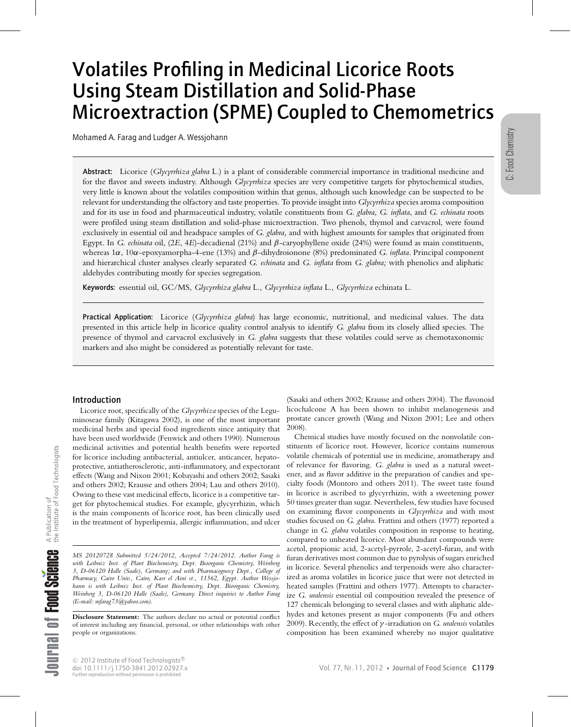# Volatiles Profiling in Medicinal Licorice Roots Using Steam Distillation and Solid-Phase Microextraction (SPME) Coupled to Chemometrics

Mohamed A. Farag and Ludger A. Wessjohann

Abstract: Licorice (*Glycyrrhiza glabra* L.) is a plant of considerable commercial importance in traditional medicine and for the flavor and sweets industry. Although *Glycyrrhiza* species are very competitive targets for phytochemical studies, very little is known about the volatiles composition within that genus, although such knowledge can be suspected to be relevant for understanding the olfactory and taste properties. To provide insight into *Glycyrrhiza* species aroma composition and for its use in food and pharmaceutical industry, volatile constituents from *G. glabra*, *G. inflata*, and *G. echinata* roots were profiled using steam distillation and solid-phase microextraction. Two phenols, thymol and carvacrol, were found exclusively in essential oil and headspace samples of *G. glabra,* and with highest amounts for samples that originated from Egypt. In *G. echinata* oil, (2*E*, 4*E*)-decadienal (21%) and β-caryophyllene oxide (24%) were found as main constituents, whereas 1α, 10α-epoxyamorpha-4-ene (13%) and β-dihydroionone (8%) predominated *G. inflata*. Principal component and hierarchical cluster analyses clearly separated *G. echinata* and *G. inflata* from *G. glabra;* with phenolics and aliphatic aldehydes contributing mostly for species segregation.

Keywords: essential oil, GC/MS, *Glycyrrhiza glabra* L., *Glycyrrhiza inflata* L., *Glycyrrhiza* echinata L.

Practical Application: Licorice (*Glycyrrhiza glabra*) has large economic, nutritional, and medicinal values. The data presented in this article help in licorice quality control analysis to identify *G. glabra* from its closely allied species. The presence of thymol and carvacrol exclusively in *G. glabra* suggests that these volatiles could serve as chemotaxonomic markers and also might be considered as potentially relevant for taste.

# Introduction

Licorice root, specifically of the *Glycyrrhiza* species of the Leguminoseae family (Kitagawa 2002), is one of the most important medicinal herbs and special food ingredients since antiquity that have been used worldwide (Fenwick and others 1990). Numerous medicinal activities and potential health benefits were reported for licorice including antibacterial, antiulcer, anticancer, hepatoprotective, antiatherosclerotic, anti-inflammatory, and expectorant effects (Wang and Nixon 2001; Kobayashi and others 2002; Sasaki and others 2002; Krausse and others 2004; Lau and others 2010). Owing to these vast medicinal effects, licorice is a competitive target for phytochemical studies. For example, glycyrrhizin, which is the main components of licorice root, has been clinically used in the treatment of hyperlipemia, allergic inflammation, and ulcer

(Sasaki and others 2002; Krausse and others 2004). The flavonoid licochalcone A has been shown to inhibit melanogenesis and prostate cancer growth (Wang and Nixon 2001; Lee and others 2008).

Chemical studies have mostly focused on the nonvolatile constituents of licorice root. However, licorice contains numerous volatile chemicals of potential use in medicine, aromatherapy and of relevance for flavoring. *G. glabra* is used as a natural sweetener, and as flavor additive in the preparation of candies and specialty foods (Montoro and others 2011). The sweet taste found in licorice is ascribed to glycyrrhizin, with a sweetening power 50 times greater than sugar. Nevertheless, few studies have focused on examining flavor components in *Glycyrrhiza* and with most studies focused on *G. glabra*. Frattini and others (1977) reported a change in *G. glabra* volatiles composition in response to heating, compared to unheated licorice. Most abundant compounds were acetol, propionic acid, 2-acetyl-pyrrole, 2-acetyl-furan, and with furan derivatives most common due to pyrolysis of sugars enriched in licorice. Several phenolics and terpenoids were also characterized as aroma volatiles in licorice juice that were not detected in heated samples (Frattini and others 1977). Attempts to characterize *G. uralensis* essential oil composition revealed the presence of 127 chemicals belonging to several classes and with aliphatic aldehydes and ketones present as major components (Fu and others 2009). Recently, the effect of γ -irradiation on *G. uralensis* volatiles composition has been examined whereby no major qualitative

*MS 20120728 Submitted 5/24/2012, Accepted 7/24/2012*. *Author Farag is with Leibniz Inst. of Plant Biochemistry, Dept. Bioorganic Chemistry, Weinberg 3, D-06120 Halle (Saale), Germany; and with Pharmacognosy Dept., College of Pharmacy, Cairo Univ., Cairo, Kasr el Aini st., 11562, Egypt. Author Wessjohann is with Leibniz Inst. of Plant Biochemistry, Dept. Bioorganic Chemistry, Weinberg 3, D-06120 Halle (Saale), Germany. Direct inquiries to Author Farag (E-mail: mfarag73@yahoo.com)*.

**Disclosure Statement:** The authors declare no actual or potential conflict of interest including any financial, personal, or other relationships with other people or organizations.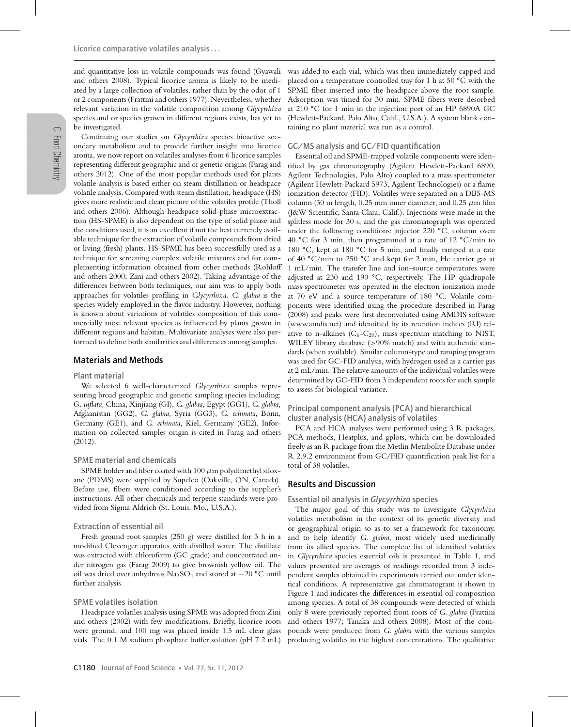and quantitative loss in volatile compounds was found (Gyawali and others 2008). Typical licorice aroma is likely to be mediated by a large collection of volatiles, rather than by the odor of 1 or 2 components (Frattini and others 1977). Nevertheless, whether relevant variation in the volatile composition among *Glycyrrhiza* species and or species grown in different regions exists, has yet to be investigated.

Continuing our studies on *Glycyrrhiza* species bioactive secondary metabolism and to provide further insight into licorice aroma, we now report on volatiles analyses from 6 licorice samples representing different geographic and or genetic origins (Farag and others 2012). One of the most popular methods used for plants volatile analysis is based either on steam distillation or headspace volatile analysis. Compared with steam distillation, headspace (HS) gives more realistic and clean picture of the volatiles profile (Tholl and others 2006). Although headspace solid-phase microextraction (HS-SPME) is also dependent on the type of solid phase and the conditions used, it is an excellent if not the best currently available technique for the extraction of volatile compounds from dried or living (fresh) plants. HS-SPME has been successfully used as a technique for screening complex volatile mixtures and for complementing information obtained from other methods (Rohloff and others 2000; Zini and others 2002). Taking advantage of the differences between both techniques, our aim was to apply both approaches for volatiles profiling in *Glycyrrhiza*. *G. glabra* is the species widely employed in the flavor industry. However, nothing is known about variations of volatiles composition of this commercially most relevant species as influenced by plants grown in different regions and habitats. Multivariate analyses were also performed to define both similarities and differences among samples.

# Materials and Methods

#### Plant material

We selected 6 well-characterized *Glycyrrhiza* samples representing broad geographic and genetic sampling species including: G*. inflata,* China, Xinjiang (GI), *G. glabra,* Egypt (GG1), *G. glabra,* Afghanistan (GG2), *G. glabra,* Syria (GG3), *G. echinata*, Bonn, Germany (GE1), and *G. echinata,* Kiel, Germany (GE2). Information on collected samples origin is cited in Farag and others (2012).

#### SPME material and chemicals

SPME holder and fiber coated with  $100 \mu$ m polydimethyl siloxane (PDMS) were supplied by Supelco (Oakville, ON, Canada). Before use, fibers were conditioned according to the supplier's instructions. All other chemicals and terpene standards were provided from Sigma Aldrich (St. Louis, Mo., U.S.A.).

#### Extraction of essential oil

Fresh ground root samples (250 g) were distilled for 3 h in a modified Clevenger apparatus with distilled water. The distillate was extracted with chloroform (GC grade) and concentrated under nitrogen gas (Farag 2009) to give brownish yellow oil. The oil was dried over anhydrous Na2SO4 and stored at −20 **◦**C until further analysis.

#### SPME volatiles isolation

Headspace volatiles analysis using SPME was adopted from Zini and others (2002) with few modifications. Briefly, licorice roots were ground, and 100 mg was placed inside 1.5 mL clear glass vials. The 0.1 M sodium phosphate buffer solution (pH 7.2 mL) was added to each vial, which was then immediately capped and placed on a temperature controlled tray for 1 h at 50 **◦**C with the SPME fiber inserted into the headspace above the root sample. Adsorption was timed for 30 min. SPME fibers were desorbed at 210 **◦**C for 1 min in the injection port of an HP 6890A GC (Hewlett-Packard, Palo Alto, Calif., U.S.A.). A system blank containing no plant material was run as a control.

#### GC/MS analysis and GC/FID quantification

Essential oil and SPME-trapped volatile components were identified by gas chromatography (Agilent Hewlett-Packard 6890, Agilent Technologies, Palo Alto) coupled to a mass spectrometer (Agilent Hewlett-Packard 5973, Agilent Technologies) or a flame ionization detector (FID). Volatiles were separated on a DB5-MS column (30 m length, 0.25 mm inner diameter, and 0.25  $\mu$ m film (J&W Scientific, Santa Clara, Calif.). Injections were made in the splitless mode for 30 s, and the gas chromatograph was operated under the following conditions: injector 220 **◦**C, column oven 40 **◦**C for 3 min, then programmed at a rate of 12 **◦**C/min to 180 **◦**C, kept at 180 **◦**C for 5 min, and finally ramped at a rate of 40 **◦**C/min to 250 **◦**C and kept for 2 min, He carrier gas at 1 mL/min. The transfer line and ion–source temperatures were adjusted at 230 and 190 **◦**C, respectively. The HP quadrupole mass spectrometer was operated in the electron ionization mode at 70 eV and a source temperature of 180 **◦**C. Volatile components were identified using the procedure described in Farag (2008) and peaks were first deconvoluted using AMDIS software (www.amdis.net) and identified by its retention indices (RI) relative to n-alkanes  $(C_6-C_{20})$ , mass spectrum matching to NIST, WILEY library database (>90% match) and with authentic standards (when available). Similar column-type and ramping program was used for GC-FID analysis, with hydrogen used as a carrier gas at 2 mL/min. The relative amounts of the individual volatiles were determined by GC-FID from 3 independent roots for each sample to assess for biological variance.

# Principal component analysis (PCA) and hierarchical cluster analysis (HCA) analysis of volatiles

PCA and HCA analyses were performed using 3 R packages, PCA methods, Heatplus, and gplots, which can be downloaded freely as an R package from the Metlin Metabolite Database under R 2.9.2 environment from GC/FID quantification peak list for a total of 38 volatiles.

# Results and Discussion

## Essential oil analysis in *Glycyrrhiza* species

The major goal of this study was to investigate *Glycyrrhiza* volatiles metabolism in the context of its genetic diversity and or geographical origin so as to set a framework for taxonomy, and to help identify *G. glabra*, most widely used medicinally from its allied species. The complete list of identified volatiles in *Glycyrrhiza* species essential oils is presented in Table 1, and values presented are averages of readings recorded from 3 independent samples obtained in experiments carried out under identical conditions. A representative gas chromatogram is shown in Figure 1 and indicates the differences in essential oil composition among species. A total of 38 compounds were detected of which only 8 were previously reported from roots of *G. glabra* (Frattini and others 1977; Tanaka and others 2008). Most of the compounds were produced from *G. glabra* with the various samples producing volatiles in the highest concentrations. The qualitative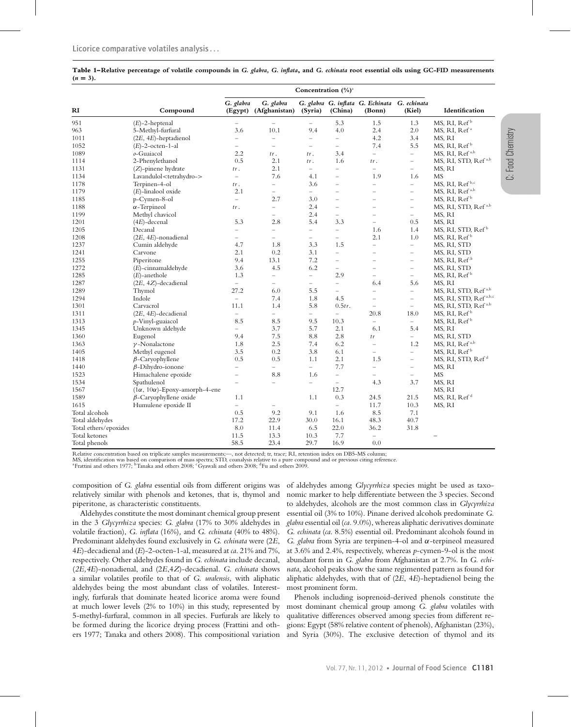|             |  | Table 1-Relative percentage of volatile compounds in G. glabra, G. inflata, and G. echinata root essential oils using GC-FID measurements |  |  |  |  |  |
|-------------|--|-------------------------------------------------------------------------------------------------------------------------------------------|--|--|--|--|--|
| $(n = 3)$ . |  |                                                                                                                                           |  |  |  |  |  |

|                       |                                           |                          | Concentration $(\frac{0}{0})^a$    |                          |                          |                                                        |                          |                                   |
|-----------------------|-------------------------------------------|--------------------------|------------------------------------|--------------------------|--------------------------|--------------------------------------------------------|--------------------------|-----------------------------------|
| RI                    | Compound                                  | G. glabra                | G. glabra<br>(Egypt) (Afghanistan) | (Syria)                  | (China)                  | G. glabra G. inflata G. Echinata G. echinata<br>(Bonn) | (Kiel)                   | Identification                    |
| 951                   | $(E)$ -2-heptenal                         | $\qquad \qquad -$        |                                    | $\overline{\phantom{0}}$ | 5.3                      | 1.5                                                    | 1.3                      | MS, RI, Ref <sup>b</sup>          |
| 963                   | 5-Methyl-furfural                         | 3.6                      | 10.1                               | 9.4                      | 4.0                      | 2.4                                                    | 2.0                      | MS, RI, Ref <sup>a</sup>          |
| 1011                  | $(2E, 4E)$ -heptadienol                   | $\equiv$                 | $\overline{\phantom{0}}$           | $\equiv$                 | $\overline{\phantom{0}}$ | 4.2                                                    | 3.4                      | MS, RI                            |
| 1052                  | $(E)$ -2-octen-1-al                       | $\overline{\phantom{0}}$ | ÷                                  | $\overline{\phantom{a}}$ | $\overline{\phantom{0}}$ | 7.4                                                    | 5.5                      | MS, RI, Ref <sup>b</sup>          |
| 1089                  | o-Guaiacol                                | 2.2                      | tr.                                | tr.                      | 3.4                      | $\qquad \qquad -$                                      | $\overline{\phantom{0}}$ | MS, RI, Ref <sup>a,b</sup>        |
| 1114                  | 2-Phenylethanol                           | 0.5                      | 2.1                                | tr.                      | 1.6                      | tr.                                                    | $\overline{\phantom{a}}$ | MS, RI, STD, Ref <sup>a,b</sup>   |
| 1131                  | $(Z)$ -pinene hydrate                     | tr.                      | 2.1                                | $\overline{\phantom{0}}$ | $\overline{\phantom{0}}$ | $\overline{\phantom{m}}$                               | $\overline{\phantom{0}}$ | MS, RI                            |
| 1134                  | Lavandulol <tetrahydro-></tetrahydro->    | $\overline{\phantom{0}}$ | 7.6                                | 4.1                      | $\overline{a}$           | 1.9                                                    | 1.6                      | <b>MS</b>                         |
| 1178                  | Terpinen-4-ol                             | tr.                      | $\equiv$                           | 3.6                      | $\overline{\phantom{0}}$ | $\overline{\phantom{0}}$                               | $\equiv$                 | MS, RI, Ref <sup>b,c</sup>        |
| 1179                  | (E)-linalool oxide                        | 2.1                      | $\overline{\phantom{0}}$           | $\equiv$                 | L.                       | $\overline{\phantom{0}}$                               | $\overline{\phantom{0}}$ | MS, RI, Ref <sup>a,b</sup>        |
| 1185                  | p-Cymen-8-ol                              | $\equiv$                 | 2.7                                | 3.0                      | $\overline{\phantom{m}}$ | $\overline{\phantom{0}}$                               | $\overline{\phantom{0}}$ | MS, RI, Ref <sup>b</sup>          |
| 1188                  | $\alpha$ -Terpineol                       | tr.                      | $\overline{\phantom{0}}$           | 2.4                      | $\overline{a}$           | $\overline{\phantom{0}}$                               | $\overline{\phantom{0}}$ | MS, RI, STD, Ref <sup>a,b</sup>   |
| 1199                  | Methyl chavicol                           |                          | $\equiv$                           | 2.4                      | $\qquad \qquad -$        | $\overline{\phantom{0}}$                               | $\equiv$                 | MS, RI                            |
| 1201                  | $(4E)$ -decenal                           | 5.3                      | 2.8                                | 5.4                      | 3.3                      | $\equiv$                                               | 0.5                      | MS, RI                            |
| 1205                  | Decanal                                   | $\overline{\phantom{0}}$ | $\overline{\phantom{0}}$           | $\overline{\phantom{0}}$ | $\equiv$                 | 1.6                                                    | 1.4                      | MS, RI, STD, Ref <sup>b</sup>     |
| 1208                  | $(2E, 4E)$ -nonadienal                    | $\overline{\phantom{0}}$ | $\equiv$                           | $\overline{\phantom{0}}$ | $\overline{a}$           | 2.1                                                    | 1.0                      | MS, RI, Ref <sup>b</sup>          |
| 1237                  | Cumin aldehyde                            | 4.7                      | 1.8                                | 3.3                      | 1.5                      | $\overline{\phantom{0}}$                               | $\equiv$                 | MS, RI, STD                       |
| 1241                  | Carvone                                   | 2.1                      | 0.2                                | 3.1                      | $\equiv$                 | $\overline{\phantom{0}}$                               | $\equiv$                 | MS, RI, STD                       |
| 1255                  | Piperitone                                | 9.4                      | 13.1                               | 7.2                      | $\equiv$                 | L,                                                     | $\overline{a}$           | MS, RI, Ref <sup>,b</sup>         |
| 1272                  | $(E)$ -cinnamaldehyde                     | 3.6                      | 4.5                                | 6.2                      | $\qquad \qquad -$        | $\overline{\phantom{0}}$                               | $\overline{\phantom{0}}$ | MS, RI, STD                       |
| 1285                  | $(E)$ -anethole                           | 1.3                      | $\overline{\phantom{0}}$           | $\equiv$                 | 2.9                      | $\overline{a}$                                         | $\equiv$                 | MS, RI, Ref <sup>b</sup>          |
| 1287                  | $(2E, 4Z)$ -decadienal                    | $\equiv$                 | $\overline{\phantom{0}}$           | $\overline{\phantom{0}}$ | $\equiv$                 | 6.4                                                    | 5.6                      | MS, RI                            |
| 1289                  | Thymol                                    | 27.2                     | 6.0                                | 5.5                      | $\overline{\phantom{a}}$ | $\qquad \qquad -$                                      | $\overline{\phantom{0}}$ | MS, RI, STD, Ref <sup>a,b</sup>   |
| 1294                  | Indole                                    | $\overline{\phantom{0}}$ | 7.4                                | 1.8                      | 4.5                      | $\overline{\phantom{0}}$                               | $\overline{\phantom{0}}$ | MS, RI, STD, Ref <sup>a,b,c</sup> |
| 1301                  | Carvacrol                                 | 11.1                     | 1.4                                | 5.8                      | 0.5tr.                   | $\overline{\phantom{a}}$                               | $\equiv$                 | MS, RI, STD, Ref <sup>a,b</sup>   |
| 1311                  | $(2E, 4E)$ -decadienal                    | $\equiv$                 | $\equiv$                           | $\overline{\phantom{0}}$ | $\equiv$                 | 20.8                                                   | 18.0                     | MS, RI, Ref <sup>b</sup>          |
| 1313                  | p-Vinyl-guaiacol                          | 8.5                      | 8.5                                | 9.5                      | 10.3                     | $\overline{\phantom{0}}$                               | $\equiv$                 | MS, RI, Ref <sup>b</sup>          |
| 1345                  | Unknown aldehyde                          | $\overline{\phantom{0}}$ | 3.7                                | 5.7                      | 2.1                      | 6.1                                                    | 5.4                      | MS, RI                            |
| 1360                  | Eugenol                                   | 9.4                      | 7.5                                | 8.8                      | 2.8                      | tr                                                     | $\equiv$                 | MS, RI, STD                       |
| 1363                  | $\nu$ -Nonalactone                        | 1.8                      | 2.5                                | 7.4                      | 6.2                      | $\overline{\phantom{0}}$                               | 1.2                      | MS, RI, Ref <sup>a,b</sup>        |
| 1405                  | Methyl eugenol                            | 3.5                      | 0.2                                | 3.8                      | 6.1                      | $\overline{\phantom{0}}$                               | $\equiv$                 | MS, RI, Ref <sup>b</sup>          |
| 1418                  | $\beta$ -Caryophyllene                    | 0.5                      | 0.5                                | 1.1                      | 2.1                      | 1.5                                                    | $\overline{\phantom{a}}$ | MS, RI, STD, Ref <sup>d</sup>     |
| 1440                  | $\beta$ -Dihydro-ionone                   | $\qquad \qquad -$        | $\overline{\phantom{0}}$           | $\qquad \qquad -$        | 7.7                      | $\overline{\phantom{0}}$                               | $\qquad \qquad -$        | MS, RI                            |
| 1523                  | Himachalene epoxide                       | $\overline{\phantom{0}}$ | 8.8                                | 1.6                      | $\equiv$                 | $\equiv$                                               | $\overline{\phantom{0}}$ | <b>MS</b>                         |
| 1534                  | Spathulenol                               | $\overline{\phantom{0}}$ | $\equiv$                           | $\overline{\phantom{0}}$ | $\overline{\phantom{0}}$ | 4.3                                                    | 3.7                      | MS, RI                            |
| 1567                  | $(1\alpha, 10\alpha)$ -Epoxy-amorph-4-ene |                          |                                    |                          | 12.7                     |                                                        |                          | MS, RI                            |
| 1589                  | $\beta$ -Caryophyllene oxide              | 1.1                      |                                    | 1.1                      | 0.3                      | 24.5                                                   | 21.5                     | MS, RI, Ref <sup>d</sup>          |
| 1615                  | Humulene epoxide II                       | $\overline{\phantom{0}}$ | -                                  |                          | $\overline{\phantom{0}}$ | 11.7                                                   | 10.3                     | MS, RI                            |
| Total alcohols        |                                           | 0.5                      | 9.2                                | 9.1                      | 1.6                      | 8.5                                                    | 7.1                      |                                   |
| Total aldehydes       |                                           | 17.2                     | 22.9                               | 30.0                     | 16.1                     | 48.3                                                   | 40.7                     |                                   |
| Total ethers/epoxides | 8.0                                       | 11.4                     | 6.5                                | 22.0                     | 36.2                     | 31.8                                                   |                          |                                   |
| Total ketones         | 11.5                                      | 13.3                     | 10.3                               | 7.7                      | $\overline{\phantom{0}}$ |                                                        |                          |                                   |
|                       |                                           | 58.5                     | 23.4                               | 29.7                     | 16.9                     | 0.0                                                    |                          |                                   |
| Total phenols         |                                           |                          |                                    |                          |                          |                                                        |                          |                                   |

Relative concentration based on triplicate samples measurements;—, not detected; tr, trace; RI, retention index on DB5-MS column;

MS, identification was based on comparison of mass spectra; STD, coanalysis relative to a pure compound and or previous citing reference.<br><sup>a</sup>Frattini and others 1977; <sup>b</sup>Tanaka and others 2008; 'Gyawali and others 2008; <sup>d</sup>

composition of *G. glabra* essential oils from different origins was relatively similar with phenols and ketones, that is, thymol and piperitone, as characteristic constituents.

Aldehydes constitute the most dominant chemical group present in the 3 *Glycyrrhiza* species: *G. glabra* (17% to 30% aldehydes in volatile fraction), *G. inflata* (16%)*,* and *G. echinata* (40% to 48%). Predominant aldehydes found exclusively in *G. echinata* were (2*E*, 4*E*)-decadienal and (*E*)-2-octen-1-al, measured at *ca*. 21% and 7%, respectively. Other aldehydes found in *G. echinata* include decanal, (*2E,4E*)-nonadienal, and (2*E*,4*Z*)-decadienal. *G. echinata* shows a similar volatiles profile to that of *G. uralensis*, with aliphatic aldehydes being the most abundant class of volatiles. Interestingly, furfurals that dominate heated licorice aroma were found at much lower levels (2% to 10%) in this study, represented by 5-methyl-furfural, common in all species. Furfurals are likely to be formed during the licorice drying process (Frattini and others 1977; Tanaka and others 2008). This compositional variation

of aldehydes among *Glycyrrhiza* species might be used as taxonomic marker to help differentiate between the 3 species. Second to aldehydes, alcohols are the most common class in *Glycyrrhiza* essential oil (3% to 10%). Pinane derived alcohols predominate *G. glabra* essential oil (*ca.* 9.0%), whereas aliphatic derivatives dominate *G. echinata* (*ca*. 8.5%) essential oil. Predominant alcohols found in *G. glabra* from Syria are terpinen-4-ol and α-terpineol measured at 3.6% and 2.4%, respectively, whereas *p*-cymen-9-ol is the most abundant form in *G. glabra* from Afghanistan at 2.7%. In *G. echinata*, alcohol peaks show the same regimented pattern as found for aliphatic aldehydes, with that of (2*E*, 4*E*)-heptadienol being the most prominent form.

Phenols including isoprenoid-derived phenols constitute the most dominant chemical group among *G. glabra* volatiles with qualitative differences observed among species from different regions: Egypt (58% relative content of phenols), Afghanistan (23%), and Syria (30%). The exclusive detection of thymol and its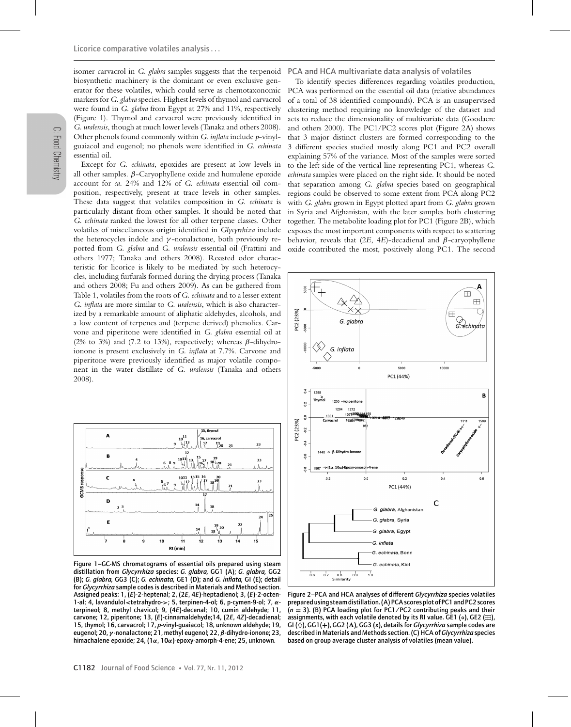isomer carvacrol in *G. glabra* samples suggests that the terpenoid biosynthetic machinery is the dominant or even exclusive generator for these volatiles, which could serve as chemotaxonomic markers for *G. glabra* species. Highest levels of thymol and carvacrol were found in *G. glabra* from Egypt at 27% and 11%, respectively (Figure 1). Thymol and carvacrol were previously identified in *G. uralensis*, though at much lower levels (Tanaka and others 2008). Other phenols found commonly within *G. inflata* include *p*-vinylguaiacol and eugenol; no phenols were identified in *G. echinata* essential oil.

Except for *G. echinata*, epoxides are present at low levels in all other samples.  $β$ -Caryophyllene oxide and humulene epoxide account for *ca*. 24% and 12% of *G. echinata* essential oil composition, respectively, present at trace levels in other samples. These data suggest that volatiles composition in *G. echinata* is particularly distant from other samples. It should be noted that *G. echinata* ranked the lowest for all other terpene classes. Other volatiles of miscellaneous origin identified in *Glycyrrhiza* include the heterocycles indole and  $\gamma$ -nonalactone, both previously reported from *G. glabra* and *G. uralensis* essential oil (Frattini and others 1977; Tanaka and others 2008). Roasted odor characteristic for licorice is likely to be mediated by such heterocycles, including furfurals formed during the drying process (Tanaka and others 2008; Fu and others 2009). As can be gathered from Table 1, volatiles from the roots of *G. echinata* and to a lesser extent *G. inflata* are more similar to *G. uralensis*, which is also characterized by a remarkable amount of aliphatic aldehydes, alcohols, and a low content of terpenes and (terpene derived) phenolics. Carvone and piperitone were identified in *G. glabra* essential oil at (2% to 3%) and (7.2 to 13%), respectively; whereas  $\beta$ -dihydroionone is present exclusively in *G. inflata* at 7.7%. Carvone and piperitone were previously identified as major volatile component in the water distillate of *G. uralensis* (Tanaka and others 2008).



Figure 1–GC-MS chromatograms of essential oils prepared using steam distillation from *Glycyrrhiza* species: *G. glabra,* GG1 (A); *G. glabra,* GG2 (B); *G. glabra,* GG3 (C); *G. echinata,* GE1 (D); and *G. inflata,* GI (E); detail for *Glycyrrhiza* sample codes is described in Materials and Method section. Assigned peaks: 1, (*E*)-2-heptenal; 2, (2*E*, 4*E*)-heptadienol; 3, (*E*)-2-octen-1-al; 4, lavandulol*<*tetrahydro-*>*; 5, terpinen-4-ol; 6, p-cymen-9-ol; 7, *α*terpineol; 8, methyl chavicol; 9, (4*E*)-decenal; 10, cumin aldehyde; 11, carvone; 12, piperitone; 13, (*E*)-cinnamaldehyde;14, (2*E*, 4*Z*)-decadienal; 15, thymol; 16, carvacrol; 17, *p*-vinyl-guaiacol; 18, unknown aldehyde; 19, eugenol; 20, *γ* -nonalactone; 21, methyl eugenol; 22, *β*-dihydro-ionone; 23, himachalene epoxide; 24, (1*α*, 10*α*)-epoxy-amorph-4-ene; 25, unknown.

PCA and HCA multivariate data analysis of volatiles

To identify species differences regarding volatiles production, PCA was performed on the essential oil data (relative abundances of a total of 38 identified compounds). PCA is an unsupervised clustering method requiring no knowledge of the dataset and acts to reduce the dimensionality of multivariate data (Goodacre and others 2000). The PC1/PC2 scores plot (Figure 2A) shows that 3 major distinct clusters are formed corresponding to the 3 different species studied mostly along PC1 and PC2 overall explaining 57% of the variance. Most of the samples were sorted to the left side of the vertical line representing PC1, whereas *G. echinata* samples were placed on the right side. It should be noted that separation among *G. glabra* species based on geographical regions could be observed to some extent from PCA along PC2 with *G. glabra* grown in Egypt plotted apart from *G. glabra* grown in Syria and Afghanistan, with the later samples both clustering together. The metabolite loading plot for PC1 (Figure 2B), which exposes the most important components with respect to scattering behavior, reveals that (2*E*, 4*E*)-decadienal and β-caryophyllene oxide contributed the most, positively along PC1. The second



Figure 2–PCA and HCA analyses of different *Glycyrrhiza* species volatiles prepared using steam distillation. (A) PCA scores plot of PC1 and PC2 scores (*n* **<sup>=</sup>** 3). (B) PCA loading plot for PC1/PC2 contributing peaks and their assignments, with each volatile denoted by its RI value. GE1 (∘), GE2 ( $\boxplus$ ), GI ( $\ddot{\Diamond}$ ), GG1(+), GG2 ( $\Delta$ ), GG3 (x), details for *Glycyrrhiza* sample codes are described in Materials and Methods section. (C) HCA of *Glycyrrhiza* species based on group average cluster analysis of volatiles (mean value).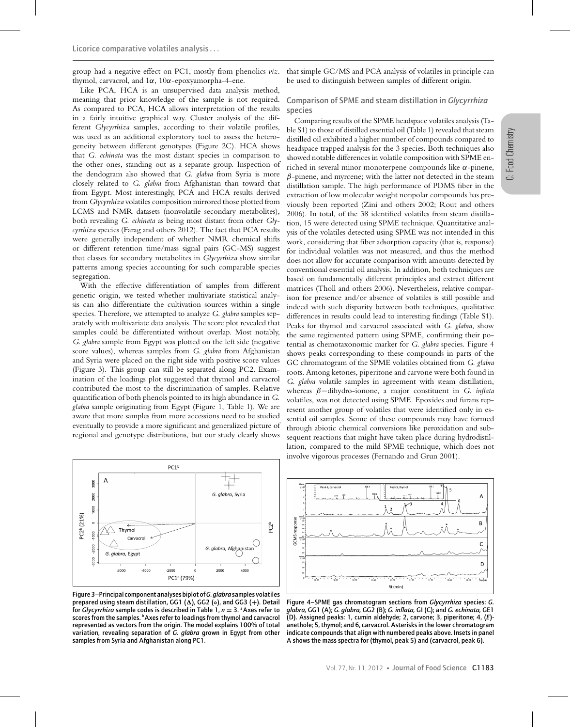group had a negative effect on PC1, mostly from phenolics *viz*. thymol, carvacrol, and  $1α$ ,  $10α$ -epoxyamorpha-4-ene.

Like PCA, HCA is an unsupervised data analysis method, meaning that prior knowledge of the sample is not required. As compared to PCA, HCA allows interpretation of the results in a fairly intuitive graphical way. Cluster analysis of the different *Glycyrrhiza* samples, according to their volatile profiles, was used as an additional exploratory tool to assess the heterogeneity between different genotypes (Figure 2C). HCA shows that *G. echinata* was the most distant species in comparison to the other ones, standing out as a separate group. Inspection of the dendogram also showed that *G. glabra* from Syria is more closely related to *G. glabra* from Afghanistan than toward that from Egypt. Most interestingly, PCA and HCA results derived from *Glycyrrhiza* volatiles composition mirrored those plotted from LCMS and NMR datasets (nonvolatile secondary metabolites), both revealing *G. echinata* as being most distant from other *Glycyrrhiza* species (Farag and others 2012). The fact that PCA results were generally independent of whether NMR chemical shifts or different retention time/mass signal pairs (GC-MS) suggest that classes for secondary metabolites in *Glycyrrhiza* show similar patterns among species accounting for such comparable species segregation.

With the effective differentiation of samples from different genetic origin, we tested whether multivariate statistical analysis can also differentiate the cultivation sources within a single species. Therefore, we attempted to analyze *G. glabra* samples separately with multivariate data analysis. The score plot revealed that samples could be differentiated without overlap. Most notably, *G. glabra* sample from Egypt was plotted on the left side (negative score values), whereas samples from *G. glabra* from Afghanistan and Syria were placed on the right side with positive score values (Figure 3). This group can still be separated along PC2. Examination of the loadings plot suggested that thymol and carvacrol contributed the most to the discrimination of samples. Relative quantification of both phenols pointed to its high abundance in *G. glabra* sample originating from Egypt (Figure 1, Table 1). We are aware that more samples from more accessions need to be studied eventually to provide a more significant and generalized picture of regional and genotype distributions, but our study clearly shows



Figure 3–Principal component analyses biplot of*G. glabra* samples volatiles prepared using steam distillation, GG1 (Δ), GG2 (o), and GG3 (+). Detail for *Glycyrrhiza* sample codes is described in Table 1, *n* **<sup>=</sup>** 3. aAxes refer to scores from the samples. **b**Axes refer to loadings from thymol and carvacrol represented as vectors from the origin. The model explains 100% of total variation, revealing separation of *G. glabra* grown in Egypt from other samples from Syria and Afghanistan along PC1.

that simple GC/MS and PCA analysis of volatiles in principle can be used to distinguish between samples of different origin.

# Comparison of SPME and steam distillation in *Glycyrrhiza* species

Comparing results of the SPME headspace volatiles analysis (Table S1) to those of distilled essential oil (Table 1) revealed that steam distilled oil exhibited a higher number of compounds compared to headspace trapped analysis for the 3 species. Both techniques also showed notable differences in volatile composition with SPME enriched in several minor monoterpene compounds like  $\alpha$ -pinene,  $\beta$ -pinene, and myrcene; with the latter not detected in the steam distillation sample. The high performance of PDMS fiber in the extraction of low molecular weight nonpolar compounds has previously been reported (Zini and others 2002; Rout and others 2006). In total, of the 38 identified volatiles from steam distillation, 15 were detected using SPME technique. Quantitative analysis of the volatiles detected using SPME was not intended in this work, considering that fiber adsorption capacity (that is, response) for individual volatiles was not measured, and thus the method does not allow for accurate comparison with amounts detected by conventional essential oil analysis. In addition, both techniques are based on fundamentally different principles and extract different matrices (Tholl and others 2006). Nevertheless, relative comparison for presence and/or absence of volatiles is still possible and indeed with such disparity between both techniques, qualitative differences in results could lead to interesting findings (Table S1). Peaks for thymol and carvacrol associated with *G. glabra*, show the same regimented pattern using SPME, confirming their potential as chemotaxonomic marker for *G. glabra* species. Figure 4 shows peaks corresponding to these compounds in parts of the GC chromatogram of the SPME volatiles obtained from *G. glabra* roots. Among ketones, piperitone and carvone were both found in *G. glabra* volatile samples in agreement with steam distillation, whereas β−dihydro-ionone, a major constituent in *G. inflata* volatiles, was not detected using SPME. Epoxides and furans represent another group of volatiles that were identified only in essential oil samples. Some of these compounds may have formed through abiotic chemical conversions like peroxidation and subsequent reactions that might have taken place during hydrodistillation, compared to the mild SPME technique, which does not involve vigorous processes (Fernando and Grun 2001).



Figure 4–SPME gas chromatogram sections from *Glycyrrhiza* species: *G. glabra,* GG1 (A); *G. glabra,* GG2 (B); *G. inflata,* GI (C); and *G. echinata,* GE1 (D). Assigned peaks: 1, cumin aldehyde; 2, carvone; 3, piperitone; 4, (*E*) anethole; 5, thymol; and 6, carvacrol. Asterisks in the lower chromatogram indicate compounds that align with numbered peaks above. Insets in panel A shows the mass spectra for (thymol, peak 5) and (carvacrol, peak 6).